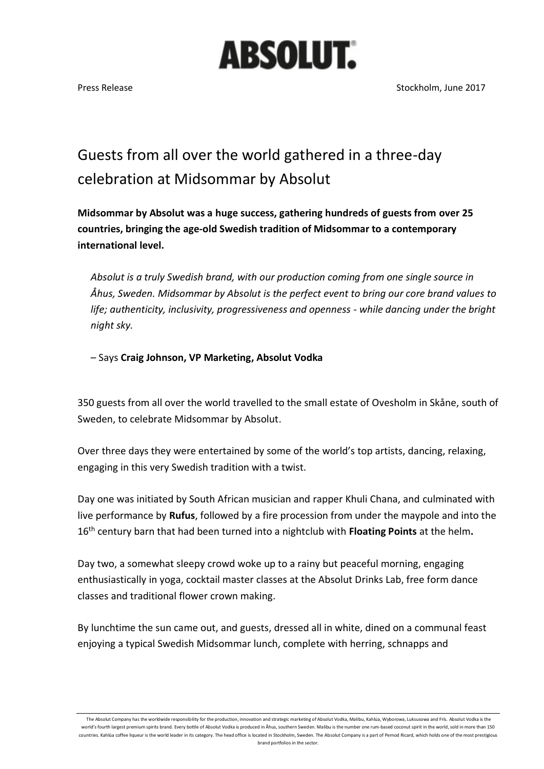## **ABSOLUT.**

## Guests from all over the world gathered in a three-day celebration at Midsommar by Absolut

**Midsommar by Absolut was a huge success, gathering hundreds of guests from over 25 countries, bringing the age-old Swedish tradition of Midsommar to a contemporary international level.** 

*Absolut is a truly Swedish brand, with our production coming from one single source in Åhus, Sweden. Midsommar by Absolut is the perfect event to bring our core brand values to life; authenticity, inclusivity, progressiveness and openness - while dancing under the bright night sky.* 

– Says **Craig Johnson, VP Marketing, Absolut Vodka**

350 guests from all over the world travelled to the small estate of Ovesholm in Skåne, south of Sweden, to celebrate Midsommar by Absolut.

Over three days they were entertained by some of the world's top artists, dancing, relaxing, engaging in this very Swedish tradition with a twist.

Day one was initiated by South African musician and rapper Khuli Chana, and culminated with live performance by **Rufus**, followed by a fire procession from under the maypole and into the 16th century barn that had been turned into a nightclub with **Floating Points** at the helm**.**

Day two, a somewhat sleepy crowd woke up to a rainy but peaceful morning, engaging enthusiastically in yoga, cocktail master classes at the Absolut Drinks Lab, free form dance classes and traditional flower crown making.

By lunchtime the sun came out, and guests, dressed all in white, dined on a communal feast enjoying a typical Swedish Midsommar lunch, complete with herring, schnapps and

The Absolut Company has the worldwide responsibility for the production, innovation and strategic marketing of Absolut Vodka, Malibu, Kahlúa, Wyborowa, Luksusowa and Frïs. Absolut Vodka is the world's fourth largest premium spirits brand. Every bottle of Absolut Vodka is produced in Åhus, southern Sweden. Malibu is the number one rum-based coconut spirit in the world, sold in more than 150 countries. Kahlúa coffee liqueur is the world leader in its category. The head office is located in Stockholm, Sweden. The Absolut Company is a part of Pernod Ricard, which holds one of the most prestigious brand portfolios in the sector.